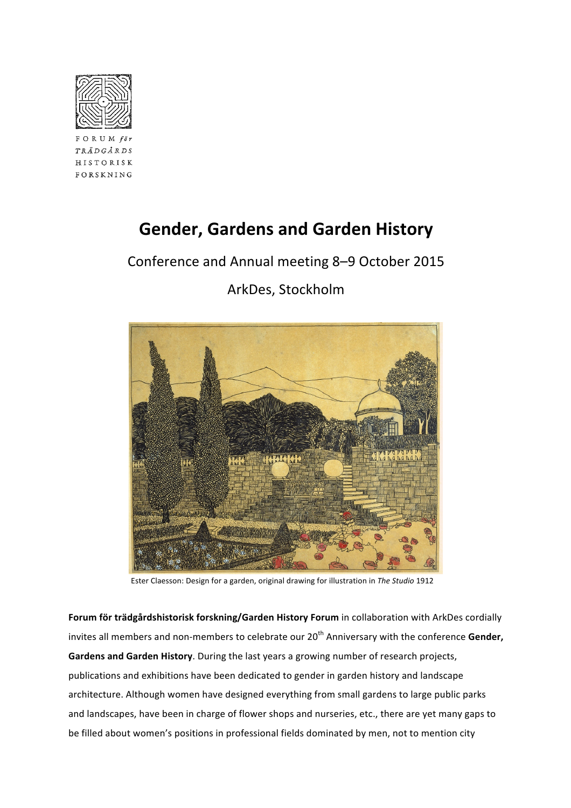

FORUM  $f \ddot{\theta}$ TRÄDGÅRDS HISTORISK FORSKNING

# **Gender, Gardens and Garden History**

Conference and Annual meeting 8-9 October 2015



## ArkDes, Stockholm

Ester Claesson: Design for a garden, original drawing for illustration in The Studio 1912

Forum för trädgårdshistorisk forskning/Garden History Forum in collaboration with ArkDes cordially invites all members and non-members to celebrate our 20<sup>th</sup> Anniversary with the conference Gender, Gardens and Garden History. During the last years a growing number of research projects, publications and exhibitions have been dedicated to gender in garden history and landscape architecture. Although women have designed everything from small gardens to large public parks and landscapes, have been in charge of flower shops and nurseries, etc., there are yet many gaps to be filled about women's positions in professional fields dominated by men, not to mention city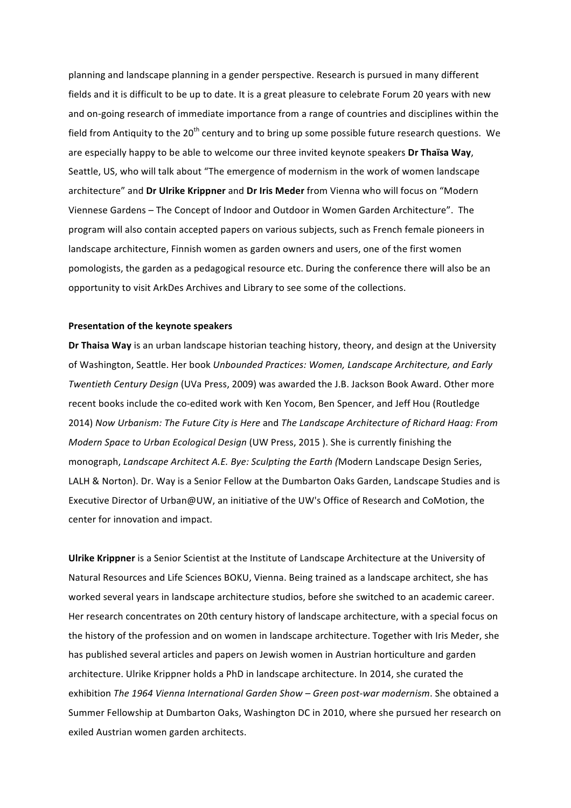planning and landscape planning in a gender perspective. Research is pursued in many different fields and it is difficult to be up to date. It is a great pleasure to celebrate Forum 20 years with new and on-going research of immediate importance from a range of countries and disciplines within the field from Antiquity to the  $20<sup>th</sup>$  century and to bring up some possible future research questions. We are especially happy to be able to welcome our three invited keynote speakers **Dr Thaïsa Way**, Seattle, US, who will talk about "The emergence of modernism in the work of women landscape architecture" and Dr Ulrike Krippner and Dr Iris Meder from Vienna who will focus on "Modern Viennese Gardens - The Concept of Indoor and Outdoor in Women Garden Architecture". The program will also contain accepted papers on various subjects, such as French female pioneers in landscape architecture, Finnish women as garden owners and users, one of the first women pomologists, the garden as a pedagogical resource etc. During the conference there will also be an opportunity to visit ArkDes Archives and Library to see some of the collections.

#### **Presentation of the keynote speakers**

**Dr Thaisa Way** is an urban landscape historian teaching history, theory, and design at the University of Washington, Seattle. Her book Unbounded Practices: Women, Landscape Architecture, and Early *Twentieth Century Design* (UVa Press, 2009) was awarded the J.B. Jackson Book Award. Other more recent books include the co-edited work with Ken Yocom, Ben Spencer, and Jeff Hou (Routledge 2014) *Now Urbanism: The Future City is Here* and *The Landscape Architecture of Richard Haag: From Modern Space to Urban Ecological Design* (UW Press, 2015). She is currently finishing the monograph, *Landscape Architect A.E. Bye: Sculpting the Earth (*Modern Landscape Design Series, LALH & Norton). Dr. Way is a Senior Fellow at the Dumbarton Oaks Garden, Landscape Studies and is Executive Director of Urban@UW, an initiative of the UW's Office of Research and CoMotion, the center for innovation and impact.

**Ulrike Krippner** is a Senior Scientist at the Institute of Landscape Architecture at the University of Natural Resources and Life Sciences BOKU, Vienna. Being trained as a landscape architect, she has worked several years in landscape architecture studios, before she switched to an academic career. Her research concentrates on 20th century history of landscape architecture, with a special focus on the history of the profession and on women in landscape architecture. Together with Iris Meder, she has published several articles and papers on Jewish women in Austrian horticulture and garden architecture. Ulrike Krippner holds a PhD in landscape architecture. In 2014, she curated the exhibition The 1964 Vienna International Garden Show – Green post-war modernism. She obtained a Summer Fellowship at Dumbarton Oaks, Washington DC in 2010, where she pursued her research on exiled Austrian women garden architects.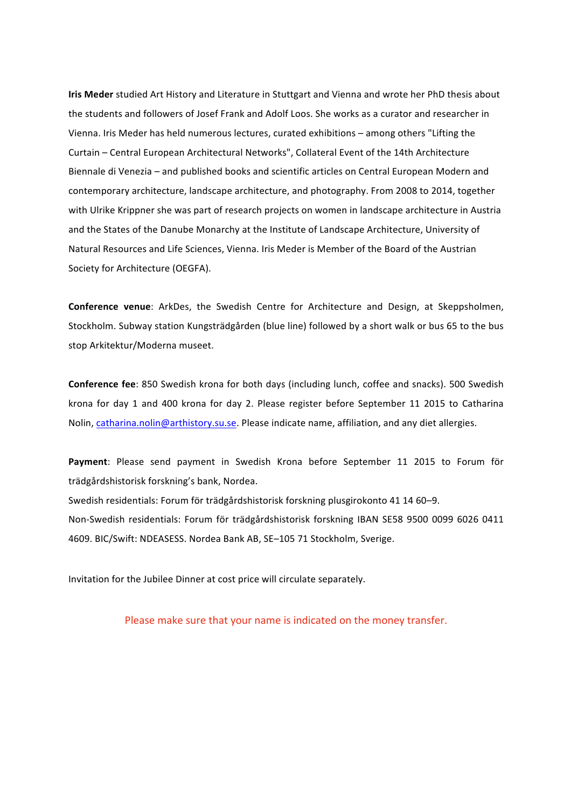**Iris Meder** studied Art History and Literature in Stuttgart and Vienna and wrote her PhD thesis about the students and followers of Josef Frank and Adolf Loos. She works as a curator and researcher in Vienna. Iris Meder has held numerous lectures, curated exhibitions – among others "Lifting the Curtain - Central European Architectural Networks", Collateral Event of the 14th Architecture Biennale di Venezia – and published books and scientific articles on Central European Modern and contemporary architecture, landscape architecture, and photography. From 2008 to 2014, together with Ulrike Krippner she was part of research projects on women in landscape architecture in Austria and the States of the Danube Monarchy at the Institute of Landscape Architecture, University of Natural Resources and Life Sciences, Vienna. Iris Meder is Member of the Board of the Austrian Society for Architecture (OEGFA).

**Conference venue**: ArkDes, the Swedish Centre for Architecture and Design, at Skeppsholmen, Stockholm. Subway station Kungsträdgården (blue line) followed by a short walk or bus 65 to the bus stop Arkitektur/Moderna museet.

**Conference fee**: 850 Swedish krona for both days (including lunch, coffee and snacks). 500 Swedish krona for day 1 and 400 krona for day 2. Please register before September 11 2015 to Catharina Nolin, catharina.nolin@arthistory.su.se. Please indicate name, affiliation, and any diet allergies.

Payment: Please send payment in Swedish Krona before September 11 2015 to Forum för trädgårdshistorisk forskning's bank, Nordea.

Swedish residentials: Forum för trädgårdshistorisk forskning plusgirokonto 41 14 60–9. Non-Swedish residentials: Forum för trädgårdshistorisk forskning IBAN SE58 9500 0099 6026 0411 4609. BIC/Swift: NDEASESS. Nordea Bank AB, SE-105 71 Stockholm, Sverige.

Invitation for the Jubilee Dinner at cost price will circulate separately.

Please make sure that your name is indicated on the money transfer.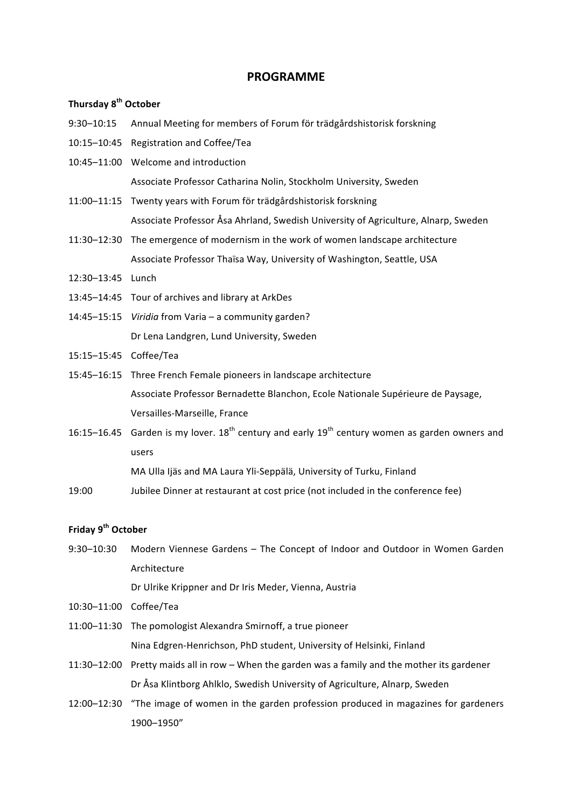#### **PROGRAMME**

#### **Thursday!8th October!**

- 9:30–10:15 Annual Meeting for members of Forum för trädgårdshistorisk forskning
- 10:15–10:45 Registration and Coffee/Tea
- 10:45-11:00 Welcome and introduction Associate Professor Catharina Nolin, Stockholm University, Sweden
- 11:00–11:15 Twenty years with Forum för trädgårdshistorisk forskning Associate Professor Åsa Ahrland, Swedish University of Agriculture, Alnarp, Sweden
- 11:30–12:30 The emergence of modernism in the work of women landscape architecture Associate Professor Thaïsa Way, University of Washington, Seattle, USA
- 12:30–13:45 Lunch(
- 13:45–14:45 Tour of archives and library at ArkDes
- 14:45–15:15 *Viridia* from Varia a community garden? Dr Lena Landgren, Lund University, Sweden
- 15:15–15:45 Coffee/Tea
- 15:45–16:15 Three French Female pioneers in landscape architecture Associate Professor Bernadette Blanchon, Ecole Nationale Supérieure de Paysage, Versailles-Marseille, France
- 16:15–16.45 Garden is my lover.  $18^{th}$  century and early  $19^{th}$  century women as garden owners and users(

MA Ulla Ijäs and MA Laura Yli-Seppälä, University of Turku, Finland

19:00 Jubilee Dinner at restaurant at cost price (not included in the conference fee)

### **Friday!9th October**

9:30–10:30 Modern Viennese Gardens – The Concept of Indoor and Outdoor in Women Garden Architecture

Dr Ulrike Krippner and Dr Iris Meder, Vienna, Austria

- 10:30–11:00 Coffee/Tea
- 11:00–11:30 The pomologist Alexandra Smirnoff, a true pioneer Nina Edgren-Henrichson, PhD student, University of Helsinki, Finland
- 11:30–12:00 Pretty maids all in row When the garden was a family and the mother its gardener Dr Åsa Klintborg Ahlklo, Swedish University of Agriculture, Alnarp, Sweden
- 12:00–12:30 "The image of women in the garden profession produced in magazines for gardeners 1900–1950"